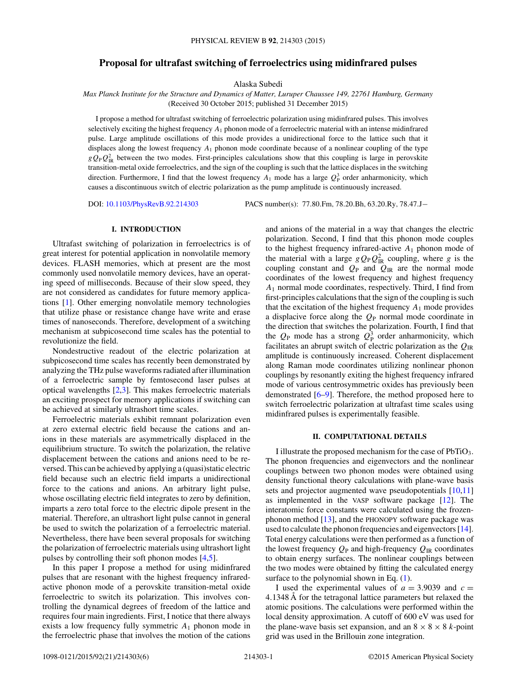# **Proposal for ultrafast switching of ferroelectrics using midinfrared pulses**

Alaska Subedi

*Max Planck Institute for the Structure and Dynamics of Matter, Luruper Chaussee 149, 22761 Hamburg, Germany* (Received 30 October 2015; published 31 December 2015)

I propose a method for ultrafast switching of ferroelectric polarization using midinfrared pulses. This involves selectively exciting the highest frequency *A*<sup>1</sup> phonon mode of a ferroelectric material with an intense midinfrared pulse. Large amplitude oscillations of this mode provides a unidirectional force to the lattice such that it displaces along the lowest frequency *A*<sup>1</sup> phonon mode coordinate because of a nonlinear coupling of the type  $gQ_PQ_R^2$  between the two modes. First-principles calculations show that this coupling is large in perovskite transition-metal oxide ferroelectrics, and the sign of the coupling is such that the lattice displaces in the switching direction. Furthermore, I find that the lowest frequency  $A_1$  mode has a large  $Q_P^3$  order anharmonicity, which causes a discontinuous switch of electric polarization as the pump amplitude is continuously increased.

DOI: [10.1103/PhysRevB.92.214303](http://dx.doi.org/10.1103/PhysRevB.92.214303) PACS number(s): 77*.*80*.*Fm*,* 78*.*20*.*Bh*,* 63*.*20*.*Ry*,* 78*.*47*.*J−

# **I. INTRODUCTION**

Ultrafast switching of polarization in ferroelectrics is of great interest for potential application in nonvolatile memory devices. FLASH memories, which at present are the most commonly used nonvolatile memory devices, have an operating speed of milliseconds. Because of their slow speed, they are not considered as candidates for future memory applications [\[1\]](#page-5-0). Other emerging nonvolatile memory technologies that utilize phase or resistance change have write and erase times of nanoseconds. Therefore, development of a switching mechanism at subpicosecond time scales has the potential to revolutionize the field.

Nondestructive readout of the electric polarization at subpicosecond time scales has recently been demonstrated by analyzing the THz pulse waveforms radiated after illumination of a ferroelectric sample by femtosecond laser pulses at optical wavelengths  $[2,3]$ . This makes ferroelectric materials an exciting prospect for memory applications if switching can be achieved at similarly ultrashort time scales.

Ferroelectric materials exhibit remnant polarization even at zero external electric field because the cations and anions in these materials are asymmetrically displaced in the equilibrium structure. To switch the polarization, the relative displacement between the cations and anions need to be reversed. This can be achieved by applying a (quasi)static electric field because such an electric field imparts a unidirectional force to the cations and anions. An arbitrary light pulse, whose oscillating electric field integrates to zero by definition, imparts a zero total force to the electric dipole present in the material. Therefore, an ultrashort light pulse cannot in general be used to switch the polarization of a ferroelectric material. Nevertheless, there have been several proposals for switching the polarization of ferroelectric materials using ultrashort light pulses by controlling their soft phonon modes [\[4,5\]](#page-5-0).

In this paper I propose a method for using midinfrared pulses that are resonant with the highest frequency infraredactive phonon mode of a perovskite transition-metal oxide ferroelectric to switch its polarization. This involves controlling the dynamical degrees of freedom of the lattice and requires four main ingredients. First, I notice that there always exists a low frequency fully symmetric *A*<sup>1</sup> phonon mode in the ferroelectric phase that involves the motion of the cations and anions of the material in a way that changes the electric polarization. Second, I find that this phonon mode couples to the highest frequency infrared-active *A*<sup>1</sup> phonon mode of the material with a large  $gQ_PQ_{IR}^2$  coupling, where *g* is the coupling constant and  $Q_P$  and  $Q_{IR}$  are the normal mode coordinates of the lowest frequency and highest frequency *A*<sup>1</sup> normal mode coordinates, respectively. Third, I find from first-principles calculations that the sign of the coupling is such that the excitation of the highest frequency  $A_1$  mode provides a displacive force along the  $Q_P$  normal mode coordinate in the direction that switches the polarization. Fourth, I find that the  $Q_P$  mode has a strong  $Q_P^3$  order anharmonicity, which facilitates an abrupt switch of electric polarization as the *Q*IR amplitude is continuously increased. Coherent displacement along Raman mode coordinates utilizing nonlinear phonon couplings by resonantly exiting the highest frequency infrared mode of various centrosymmetric oxides has previously been demonstrated [\[6–9\]](#page-5-0). Therefore, the method proposed here to switch ferroelectric polarization at ultrafast time scales using midinfrared pulses is experimentally feasible.

### **II. COMPUTATIONAL DETAILS**

I illustrate the proposed mechanism for the case of  $PbTiO<sub>3</sub>$ . The phonon frequencies and eigenvectors and the nonlinear couplings between two phonon modes were obtained using density functional theory calculations with plane-wave basis sets and projector augmented wave pseudopotentials [\[10,11\]](#page-5-0) as implemented in the VASP software package [\[12\]](#page-5-0). The interatomic force constants were calculated using the frozenphonon method [\[13\]](#page-5-0), and the PHONOPY software package was used to calculate the phonon frequencies and eigenvectors [\[14\]](#page-5-0). Total energy calculations were then performed as a function of the lowest frequency  $Q_P$  and high-frequency  $Q_{IR}$  coordinates to obtain energy surfaces. The nonlinear couplings between the two modes were obtained by fitting the calculated energy surface to the polynomial shown in Eq.  $(1)$ .

I used the experimental values of  $a = 3.9039$  and  $c =$ 4.1348 A for the tetragonal lattice parameters but relaxed the atomic positions. The calculations were performed within the local density approximation. A cutoff of 600 eV was used for the plane-wave basis set expansion, and an  $8 \times 8 \times 8$  *k*-point grid was used in the Brillouin zone integration.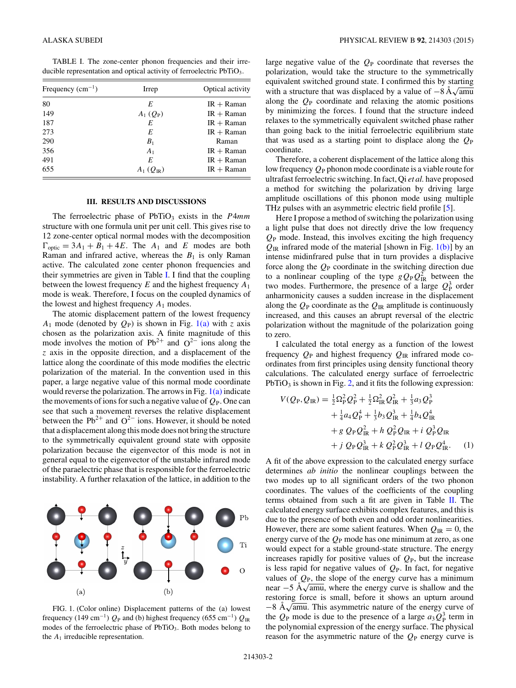<span id="page-1-0"></span>TABLE I. The zone-center phonon frequencies and their irreducible representation and optical activity of ferroelectric PbTiO<sub>3</sub>.

| Frequency $(cm-1)$ | Irrep             | Optical activity |
|--------------------|-------------------|------------------|
| 80                 | E                 | $IR + Raman$     |
| 149                | $A_1(Q_P)$        | $IR + Raman$     |
| 187                | E                 | $IR + Raman$     |
| 273                | E                 | $IR + Raman$     |
| 290                | $B_1$             | Raman            |
| 356                | A <sub>1</sub>    | $IR + Raman$     |
| 491                | E                 | $IR + Raman$     |
| 655                | $A_1(Q_{\rm IR})$ | $IR + Raman$     |

## **III. RESULTS AND DISCUSSIONS**

The ferroelectric phase of PbTiO<sub>3</sub> exists in the *P4mm* structure with one formula unit per unit cell. This gives rise to 12 zone-center optical normal modes with the decomposition  $\Gamma_{\text{optic}} = 3A_1 + B_1 + 4E$ . The *A*<sub>1</sub> and *E* modes are both Raman and infrared active, whereas the  $B_1$  is only Raman active. The calculated zone center phonon frequencies and their symmetries are given in Table I. I find that the coupling between the lowest frequency *E* and the highest frequency *A*<sup>1</sup> mode is weak. Therefore, I focus on the coupled dynamics of the lowest and highest frequency  $A_1$  modes.

The atomic displacement pattern of the lowest frequency  $A_1$  mode (denoted by  $Q_P$ ) is shown in Fig. 1(a) with *z* axis chosen as the polarization axis. A finite magnitude of this mode involves the motion of Pb<sup>2+</sup> and  $O^{2-}$  ions along the *z* axis in the opposite direction, and a displacement of the lattice along the coordinate of this mode modifies the electric polarization of the material. In the convention used in this paper, a large negative value of this normal mode coordinate would reverse the polarization. The arrows in Fig. 1(a) indicate the movements of ions for such a negative value of  $Q_P$ . One can see that such a movement reverses the relative displacement between the Pb<sup>2+</sup> and  $O^{2-}$  ions. However, it should be noted that a displacement along this mode does not bring the structure to the symmetrically equivalent ground state with opposite polarization because the eigenvector of this mode is not in general equal to the eigenvector of the unstable infrared mode of the paraelectric phase that is responsible for the ferroelectric instability. A further relaxation of the lattice, in addition to the



FIG. 1. (Color online) Displacement patterns of the (a) lowest frequency (149 cm<sup>-1</sup>)  $Q_P$  and (b) highest frequency (655 cm<sup>-1</sup>)  $Q_{IR}$ modes of the ferroelectric phase of PbTiO<sub>3</sub>. Both modes belong to the  $A_1$  irreducible representation.

large negative value of the  $Q_P$  coordinate that reverses the polarization, would take the structure to the symmetrically equivalent switched ground state. I confirmed this by starting with a structure that was displaced by a value of  $-8 \text{ Å} \sqrt{\text{amu}}$ along the  $Q_P$  coordinate and relaxing the atomic positions by minimizing the forces. I found that the structure indeed relaxes to the symmetrically equivalent switched phase rather than going back to the initial ferroelectric equilibrium state that was used as a starting point to displace along the  $Q_P$ coordinate.

Therefore, a coherent displacement of the lattice along this low frequency  $Q_P$  phonon mode coordinate is a viable route for ultrafast ferroelectric switching. In fact, Qi *et al.* have proposed a method for switching the polarization by driving large amplitude oscillations of this phonon mode using multiple THz pulses with an asymmetric electric field profile [\[5\]](#page-5-0).

Here I propose a method of switching the polarization using a light pulse that does not directly drive the low frequency *Q*<sup>P</sup> mode. Instead, this involves exciting the high frequency  $Q_{IR}$  infrared mode of the material [shown in Fig. 1(b)] by an intense midinfrared pulse that in turn provides a displacive force along the  $Q_P$  coordinate in the switching direction due to a nonlinear coupling of the type  $gQ_PQ_R^2$  between the two modes. Furthermore, the presence of a large  $Q_{\rm P}^3$  order anharmonicity causes a sudden increase in the displacement along the  $Q_P$  coordinate as the  $Q_{IR}$  amplitude is continuously increased, and this causes an abrupt reversal of the electric polarization without the magnitude of the polarization going to zero.

I calculated the total energy as a function of the lowest frequency  $Q_P$  and highest frequency  $Q_{IR}$  infrared mode coordinates from first principles using density functional theory calculations. The calculated energy surface of ferroelectric  $PbTiO<sub>3</sub>$  is shown in Fig. [2,](#page-2-0) and it fits the following expression:

$$
V(Q_{P}, Q_{IR}) = \frac{1}{2} \Omega_{P}^{2} Q_{P}^{2} + \frac{1}{2} \Omega_{IR}^{2} Q_{IR}^{2} + \frac{1}{3} a_{3} Q_{P}^{3}
$$
  
+  $\frac{1}{4} a_{4} Q_{P}^{4} + \frac{1}{3} b_{3} Q_{IR}^{3} + \frac{1}{4} b_{4} Q_{IR}^{4}$   
+  $g Q_{P} Q_{IR}^{2} + h Q_{P}^{2} Q_{IR} + i Q_{P}^{3} Q_{IR}$   
+  $j Q_{P} Q_{IR}^{3} + k Q_{P}^{2} Q_{IR}^{3} + l Q_{P} Q_{IR}^{4}$ . (1)

A fit of the above expression to the calculated energy surface determines *ab initio* the nonlinear couplings between the two modes up to all significant orders of the two phonon coordinates. The values of the coefficients of the coupling terms obtained from such a fit are given in Table [II.](#page-2-0) The calculated energy surface exhibits complex features, and this is due to the presence of both even and odd order nonlinearities. However, there are some salient features. When  $Q_{\text{IR}} = 0$ , the energy curve of the  $Q_P$  mode has one minimum at zero, as one would expect for a stable ground-state structure. The energy increases rapidly for positive values of  $Q_{\rm P}$ , but the increase is less rapid for negative values of  $Q_P$ . In fact, for negative values of  $Q_P$ , the slope of the energy curve has a minimum near  $-5$  A $\sqrt{amu}$ , where the energy curve is shallow and the restoring force is small, before it shows an upturn around  $-8$  Å $\sqrt{\text{amu}}$ . This asymmetric nature of the energy curve of the  $Q_P$  mode is due to the presence of a large  $a_3 Q_P^3$  term in the polynomial expression of the energy surface. The physical reason for the asymmetric nature of the  $Q_P$  energy curve is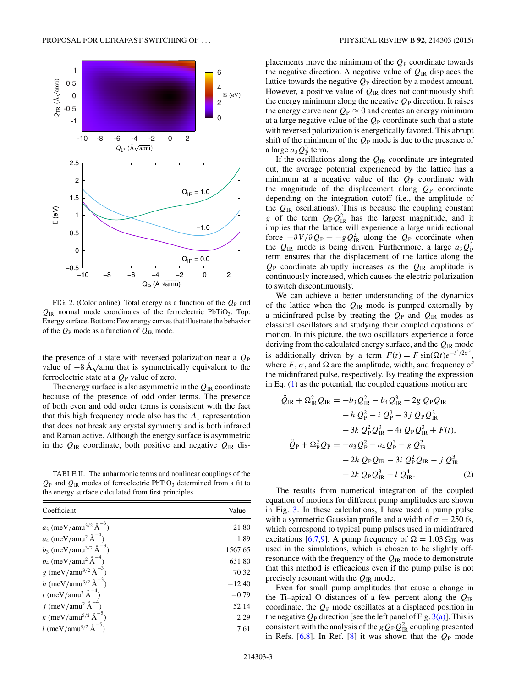<span id="page-2-0"></span>

FIG. 2. (Color online) Total energy as a function of the  $Q_P$  and  $Q_{IR}$  normal mode coordinates of the ferroelectric PbTiO<sub>3</sub>. Top: Energy surface. Bottom: Few energy curves that illustrate the behavior of the  $Q_P$  mode as a function of  $Q_{IR}$  mode.

the presence of a state with reversed polarization near a  $Q_P$ value of  $-8 \text{ Å} \sqrt{\text{amu}}$  that is symmetrically equivalent to the ferroelectric state at a  $Q_P$  value of zero.

The energy surface is also asymmetric in the  $Q_{IR}$  coordinate because of the presence of odd order terms. The presence of both even and odd order terms is consistent with the fact that this high frequency mode also has the  $A_1$  representation that does not break any crystal symmetry and is both infrared and Raman active. Although the energy surface is asymmetric in the  $Q_{\text{IR}}$  coordinate, both positive and negative  $Q_{\text{IR}}$  dis-

TABLE II. The anharmonic terms and nonlinear couplings of the  $Q_{\rm P}$  and  $Q_{\rm IR}$  modes of ferroelectric PbTiO<sub>3</sub> determined from a fit to the energy surface calculated from first principles.

| Coefficient                                   | Value    |
|-----------------------------------------------|----------|
| $a_3$ (meV/amu <sup>3/2</sup> $\AA^{-3}$ )    | 21.80    |
| $a_4$ (meV/amu <sup>2</sup> $\rm{\AA}^{-4}$ ) | 1.89     |
| $b_3$ (meV/amu <sup>3/2</sup> $\AA^{-3}$ )    | 1567.65  |
| $b_4$ (meV/amu <sup>2</sup> $\rm{\AA}^{-4}$ ) | 631.80   |
| g (meV/amu <sup>3/2</sup> $\AA^{-3}$ )        | 70.32    |
| <i>h</i> (meV/amu <sup>3/2</sup> $\AA^{-3}$ ) | $-12.40$ |
| i (meV/amu <sup>2</sup> $\mathring{A}^{-4}$ ) | $-0.79$  |
| j (meV/amu <sup>2</sup> $\AA^{-4}$ )          | 52.14    |
| <i>k</i> (meV/amu <sup>5/2</sup> $\AA^{-5}$ ) | 2.29     |
| <i>l</i> (meV/amu <sup>5/2</sup> $\AA^{-5}$ ) | 7.61     |

placements move the minimum of the  $Q_P$  coordinate towards the negative direction. A negative value of *Q*IR displaces the lattice towards the negative  $Q_P$  direction by a modest amount. However, a positive value of  $Q_{\text{IR}}$  does not continuously shift the energy minimum along the negative  $Q_P$  direction. It raises the energy curve near  $Q_P \approx 0$  and creates an energy minimum at a large negative value of the  $Q_P$  coordinate such that a state with reversed polarization is energetically favored. This abrupt shift of the minimum of the  $Q_P$  mode is due to the presence of a large  $a_3 Q_{\rm P}^3$  term.

If the oscillations along the *Q*IR coordinate are integrated out, the average potential experienced by the lattice has a minimum at a negative value of the  $Q_P$  coordinate with the magnitude of the displacement along  $Q_{\rm P}$  coordinate depending on the integration cutoff (i.e., the amplitude of the  $Q_{\rm IR}$  oscillations). This is because the coupling constant *g* of the term  $Q_P Q_R^2$  has the largest magnitude, and it implies that the lattice will experience a large unidirectional force  $-\partial V/\partial Q_P = -g Q_R^2$  along the  $Q_P$  coordinate when the  $Q_{\text{IR}}$  mode is being driven. Furthermore, a large  $a_3 Q_{\text{P}}^3$ term ensures that the displacement of the lattice along the  $Q_P$  coordinate abruptly increases as the  $Q_{IR}$  amplitude is continuously increased, which causes the electric polarization to switch discontinuously.

We can achieve a better understanding of the dynamics of the lattice when the  $Q_{\text{IR}}$  mode is pumped externally by a midinfrared pulse by treating the  $Q_P$  and  $Q_{IR}$  modes as classical oscillators and studying their coupled equations of motion. In this picture, the two oscillators experience a force deriving from the calculated energy surface, and the *Q*IR mode is additionally driven by a term  $F(t) = F \sin(\Omega t) e^{-t^2/2\sigma^2}$ , where  $F$ ,  $\sigma$ , and  $\Omega$  are the amplitude, width, and frequency of the midinfrared pulse, respectively. By treating the expression in Eq. [\(1\)](#page-1-0) as the potential, the coupled equations motion are

$$
\ddot{Q}_{IR} + \Omega_{IR}^{2} Q_{IR} = -b_{3} Q_{IR}^{2} - b_{4} Q_{IR}^{3} - 2g Q_{P} Q_{IR}
$$
  
\n
$$
-h Q_{P}^{2} - i Q_{P}^{3} - 3j Q_{P} Q_{IR}^{2}
$$
  
\n
$$
- 3k Q_{P}^{2} Q_{IR}^{3} - 4l Q_{P} Q_{IR}^{3} + F(t),
$$
  
\n
$$
\ddot{Q}_{P} + \Omega_{P}^{2} Q_{P} = -a_{3} Q_{P}^{2} - a_{4} Q_{P}^{3} - g Q_{IR}^{2}
$$
  
\n
$$
- 2h Q_{P} Q_{IR} - 3i Q_{P}^{2} Q_{IR} - j Q_{IR}^{3}
$$
  
\n
$$
- 2k Q_{P} Q_{IR}^{3} - l Q_{IR}^{4}.
$$
  
\n(2)

The results from numerical integration of the coupled equation of motions for different pump amplitudes are shown in Fig. [3.](#page-3-0) In these calculations, I have used a pump pulse with a symmetric Gaussian profile and a width of  $\sigma = 250$  fs, which correspond to typical pump pulses used in midinfrared excitations [\[6,7,9\]](#page-5-0). A pump frequency of  $\Omega = 1.03 \Omega_{IR}$  was used in the simulations, which is chosen to be slightly offresonance with the frequency of the *Q*IR mode to demonstrate that this method is efficacious even if the pump pulse is not precisely resonant with the *Q*IR mode.

Even for small pump amplitudes that cause a change in the Ti–apical O distances of a few percent along the  $Q_{\text{IR}}$ coordinate, the *Q*<sup>P</sup> mode oscillates at a displaced position in the negative  $Q_P$  direction [see the left panel of Fig. [3\(a\)\]](#page-3-0). This is consistent with the analysis of the  $gQ_PQ_R^2$  coupling presented in Refs.  $[6,8]$ . In Ref.  $[8]$  it was shown that the  $Q_P$  mode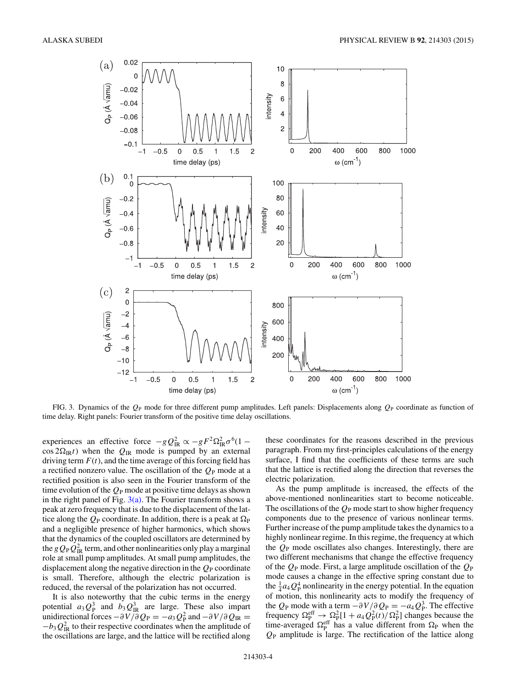<span id="page-3-0"></span>

FIG. 3. Dynamics of the  $Q_P$  mode for three different pump amplitudes. Left panels: Displacements along  $Q_P$  coordinate as function of time delay. Right panels: Fourier transform of the positive time delay oscillations.

experiences an effective force  $-gQ_{\text{IR}}^2 \propto -gF^2\Omega_{\text{IR}}^2\sigma^6(1-\frac{1}{2})$  $\cos 2\Omega_{\rm IR} t$ ) when the  $Q_{\rm IR}$  mode is pumped by an external driving term  $F(t)$ , and the time average of this forcing field has a rectified nonzero value. The oscillation of the *Q*<sup>P</sup> mode at a rectified position is also seen in the Fourier transform of the time evolution of the  $Q_P$  mode at positive time delays as shown in the right panel of Fig.  $3(a)$ . The Fourier transform shows a peak at zero frequency that is due to the displacement of the lattice along the  $Q_P$  coordinate. In addition, there is a peak at  $\Omega_P$ and a negligible presence of higher harmonics, which shows that the dynamics of the coupled oscillators are determined by the  $g$   $Q_{\rm P}$   $Q_{\rm IR}^2$  term, and other nonlinearities only play a marginal role at small pump amplitudes. At small pump amplitudes, the displacement along the negative direction in the  $Q_P$  coordinate is small. Therefore, although the electric polarization is reduced, the reversal of the polarization has not occurred.

It is also noteworthy that the cubic terms in the energy potential  $a_3 Q_P^3$  and  $b_3 Q_R^3$  are large. These also impart unidirectional forces  $-\partial V/\partial Q_P = -a_3 Q_P^2$  and  $-\partial V/\partial Q_{IR} =$  $-b_3 Q_{\text{IR}}^2$  to their respective coordinates when the amplitude of the oscillations are large, and the lattice will be rectified along these coordinates for the reasons described in the previous paragraph. From my first-principles calculations of the energy surface, I find that the coefficients of these terms are such that the lattice is rectified along the direction that reverses the electric polarization.

As the pump amplitude is increased, the effects of the above-mentioned nonlinearities start to become noticeable. The oscillations of the  $Q_P$  mode start to show higher frequency components due to the presence of various nonlinear terms. Further increase of the pump amplitude takes the dynamics to a highly nonlinear regime. In this regime, the frequency at which the *Q*<sup>P</sup> mode oscillates also changes. Interestingly, there are two different mechanisms that change the effective frequency of the *Q*<sup>P</sup> mode. First, a large amplitude oscillation of the *Q*<sup>P</sup> mode causes a change in the effective spring constant due to the  $\frac{1}{4}a_4Q_P^4$  nonlinearity in the energy potential. In the equation of motion, this nonlinearity acts to modify the frequency of the  $Q_P$  mode with a term  $-\partial V/\partial Q_P = -a_4 Q_P^3$ . The effective frequency  $\Omega_{\rm P}^{\rm eff} \rightarrow \Omega_{\rm P}^2[1 + a_4 Q_{\rm P}^2(t)/\Omega_{\rm P}^2]$  changes because the time-averaged  $\Omega_{\rm P}^{\rm eff}$  has a value different from  $\Omega_{\rm P}$  when the *Q*<sup>P</sup> amplitude is large. The rectification of the lattice along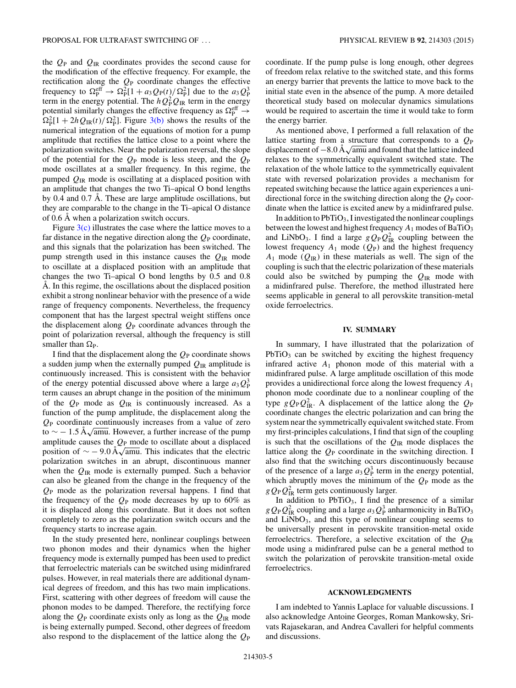the  $Q_P$  and  $Q_{IR}$  coordinates provides the second cause for the modification of the effective frequency. For example, the rectification along the  $Q_P$  coordinate changes the effective frequency to  $\Omega_P^{\text{eff}} \to \Omega_P^2[1 + a_3 Q_P(t)/\Omega_P^2]$  due to the  $a_3 Q_P^3$ term in the energy potential. The  $hQ_{\rm P}^2Q_{\rm IR}$  term in the energy potential similarly changes the effective frequency as  $\Omega_{\rm P}^{\rm eff} \rightarrow$  $\Omega_{\rm P}^2[1 + 2hQ_{\rm IR}(t)/\Omega_{\rm P}^2]$ . Figure [3\(b\)](#page-3-0) shows the results of the numerical integration of the equations of motion for a pump amplitude that rectifies the lattice close to a point where the polarization switches. Near the polarization reversal, the slope of the potential for the  $Q_P$  mode is less steep, and the  $Q_P$ mode oscillates at a smaller frequency. In this regime, the pumped *Q*IR mode is oscillating at a displaced position with an amplitude that changes the two Ti–apical O bond lengths by  $0.4$  and  $0.7$  Å. These are large amplitude oscillations, but they are comparable to the change in the Ti–apical O distance of  $0.6$  Å when a polarization switch occurs.

Figure  $3(c)$  illustrates the case where the lattice moves to a far distance in the negative direction along the  $Q_P$  coordinate, and this signals that the polarization has been switched. The pump strength used in this instance causes the  $Q_{\text{IR}}$  mode to oscillate at a displaced position with an amplitude that changes the two Ti–apical O bond lengths by 0.5 and 0.8  $\dot{A}$ . In this regime, the oscillations about the displaced position exhibit a strong nonlinear behavior with the presence of a wide range of frequency components. Nevertheless, the frequency component that has the largest spectral weight stiffens once the displacement along  $Q_P$  coordinate advances through the point of polarization reversal, although the frequency is still smaller than  $\Omega_P$ .

I find that the displacement along the  $Q_P$  coordinate shows a sudden jump when the externally pumped  $Q_{IR}$  amplitude is continuously increased. This is consistent with the behavior of the energy potential discussed above where a large  $a_3 Q_{\rm P}^3$ term causes an abrupt change in the position of the minimum of the  $Q_P$  mode as  $Q_{IR}$  is continuously increased. As a function of the pump amplitude, the displacement along the *Q*<sup>P</sup> coordinate continuously increases from a value of zero to  $\sim$  − 1.5 Å $\sqrt{amu}$ . However, a further increase of the pump amplitude causes the  $Q_P$  mode to oscillate about a displaced position of  $\sim$  − 9.0 Å $\sqrt{\text{amu}}$ . This indicates that the electric polarization switches in an abrupt, discontinuous manner when the *Q*IR mode is externally pumped. Such a behavior can also be gleaned from the change in the frequency of the *Q*<sup>P</sup> mode as the polarization reversal happens. I find that the frequency of the  $Q_P$  mode decreases by up to 60% as it is displaced along this coordinate. But it does not soften completely to zero as the polarization switch occurs and the frequency starts to increase again.

In the study presented here, nonlinear couplings between two phonon modes and their dynamics when the higher frequency mode is externally pumped has been used to predict that ferroelectric materials can be switched using midinfrared pulses. However, in real materials there are additional dynamical degrees of freedom, and this has two main implications. First, scattering with other degrees of freedom will cause the phonon modes to be damped. Therefore, the rectifying force along the  $Q_P$  coordinate exists only as long as the  $Q_{IR}$  mode is being externally pumped. Second, other degrees of freedom also respond to the displacement of the lattice along the  $Q_P$ 

coordinate. If the pump pulse is long enough, other degrees of freedom relax relative to the switched state, and this forms an energy barrier that prevents the lattice to move back to the initial state even in the absence of the pump. A more detailed theoretical study based on molecular dynamics simulations would be required to ascertain the time it would take to form the energy barrier.

As mentioned above, I performed a full relaxation of the lattice starting from a structure that corresponds to a  $Q_P$ displacement of  $-8.0 \text{ Å}\sqrt{\text{amu}}$  and found that the lattice indeed relaxes to the symmetrically equivalent switched state. The relaxation of the whole lattice to the symmetrically equivalent state with reversed polarization provides a mechanism for repeated switching because the lattice again experiences a unidirectional force in the switching direction along the  $Q_P$  coordinate when the lattice is excited anew by a midinfrared pulse.

In addition to  $PbTiO<sub>3</sub>$ , I investigated the nonlinear couplings between the lowest and highest frequency  $A_1$  modes of BaTiO<sub>3</sub> and LiNbO<sub>3</sub>. I find a large  $gQ_PQ_R^2$  coupling between the lowest frequency  $A_1$  mode  $(Q_P)$  and the highest frequency  $A_1$  mode ( $Q_{IR}$ ) in these materials as well. The sign of the coupling is such that the electric polarization of these materials could also be switched by pumping the  $Q_{\text{IR}}$  mode with a midinfrared pulse. Therefore, the method illustrated here seems applicable in general to all perovskite transition-metal oxide ferroelectrics.

#### **IV. SUMMARY**

In summary, I have illustrated that the polarization of  $PbTiO<sub>3</sub>$  can be switched by exciting the highest frequency infrared active  $A_1$  phonon mode of this material with a midinfrared pulse. A large amplitude oscillation of this mode provides a unidirectional force along the lowest frequency *A*<sup>1</sup> phonon mode coordinate due to a nonlinear coupling of the type  $gQ_PQ_{\text{IR}}^2$ . A displacement of the lattice along the  $Q_P$ coordinate changes the electric polarization and can bring the system near the symmetrically equivalent switched state. From my first-principles calculations, I find that sign of the coupling is such that the oscillations of the *Q*IR mode displaces the lattice along the  $Q_P$  coordinate in the switching direction. I also find that the switching occurs discontinuously because of the presence of a large  $a_3 Q_{\rm P}^3$  term in the energy potential, which abruptly moves the minimum of the  $Q_P$  mode as the  $gQ_PQ_{\rm IR}^2$  term gets continuously larger.

In addition to  $PbTiO<sub>3</sub>$ , I find the presence of a similar  $gQ_PQ_R^2$  coupling and a large  $a_3Q_P^3$  anharmonicity in BaTiO<sub>3</sub> and  $LiNbO<sub>3</sub>$ , and this type of nonlinear coupling seems to be universally present in perovskite transition-metal oxide ferroelectrics. Therefore, a selective excitation of the *Q*IR mode using a midinfrared pulse can be a general method to switch the polarization of perovskite transition-metal oxide ferroelectrics.

### **ACKNOWLEDGMENTS**

I am indebted to Yannis Laplace for valuable discussions. I also acknowledge Antoine Georges, Roman Mankowsky, Srivats Rajasekaran, and Andrea Cavalleri for helpful comments and discussions.